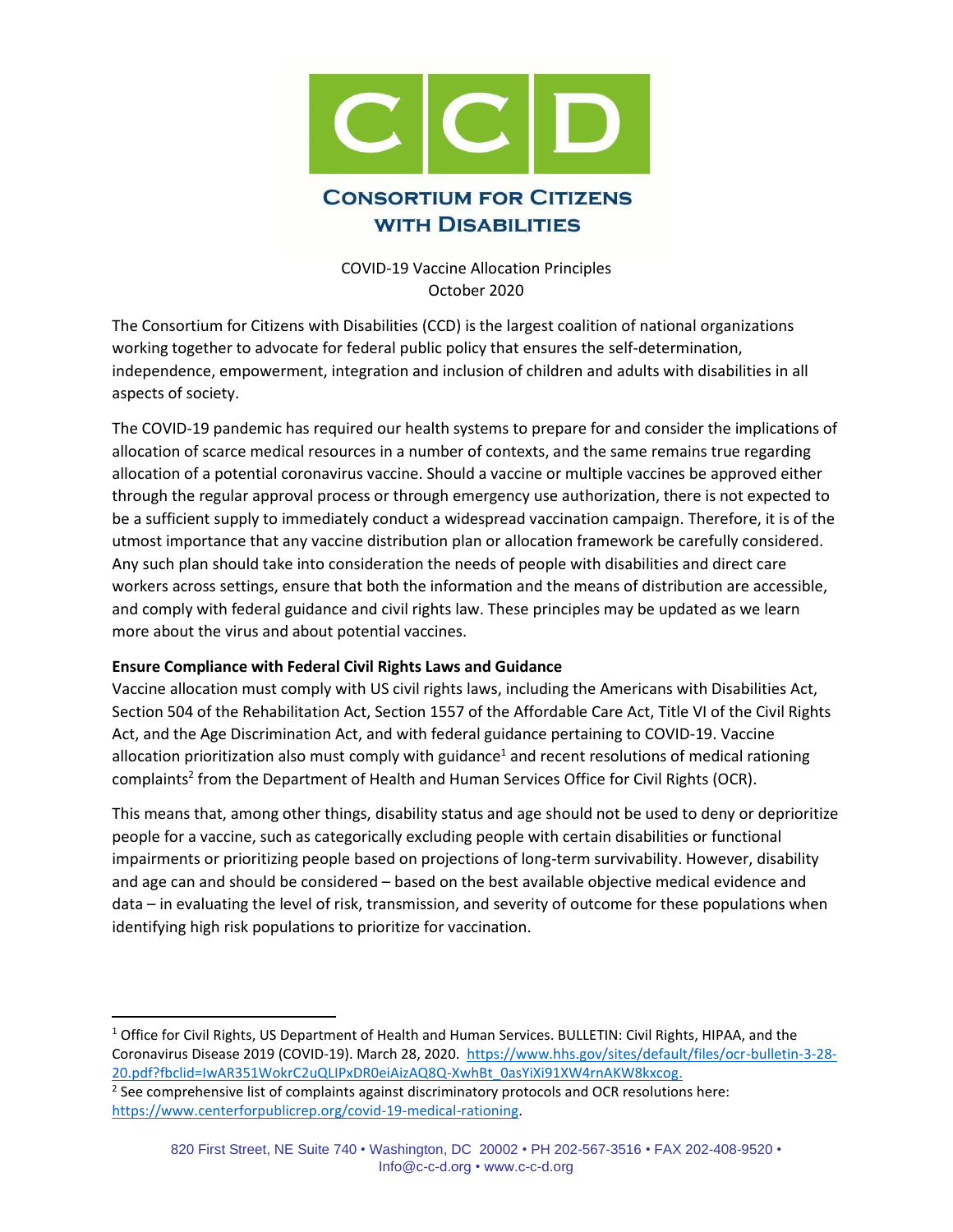

COVID-19 Vaccine Allocation Principles October 2020

The Consortium for Citizens with Disabilities (CCD) is the largest coalition of national organizations working together to advocate for federal public policy that ensures the self-determination, independence, empowerment, integration and inclusion of children and adults with disabilities in all aspects of society.

The COVID-19 pandemic has required our health systems to prepare for and consider the implications of allocation of scarce medical resources in a number of contexts, and the same remains true regarding allocation of a potential coronavirus vaccine. Should a vaccine or multiple vaccines be approved either through the regular approval process or through emergency use authorization, there is not expected to be a sufficient supply to immediately conduct a widespread vaccination campaign. Therefore, it is of the utmost importance that any vaccine distribution plan or allocation framework be carefully considered. Any such plan should take into consideration the needs of people with disabilities and direct care workers across settings, ensure that both the information and the means of distribution are accessible, and comply with federal guidance and civil rights law. These principles may be updated as we learn more about the virus and about potential vaccines.

### **Ensure Compliance with Federal Civil Rights Laws and Guidance**

Vaccine allocation must comply with US civil rights laws, including the Americans with Disabilities Act, Section 504 of the Rehabilitation Act, Section 1557 of the Affordable Care Act, Title VI of the Civil Rights Act, and the Age Discrimination Act, and with federal guidance pertaining to COVID-19. Vaccine allocation prioritization also must comply with guidance<sup>1</sup> and recent resolutions of medical rationing complaints<sup>2</sup> from the Department of Health and Human Services Office for Civil Rights (OCR).

This means that, among other things, disability status and age should not be used to deny or deprioritize people for a vaccine, such as categorically excluding people with certain disabilities or functional impairments or prioritizing people based on projections of long-term survivability. However, disability and age can and should be considered – based on the best available objective medical evidence and data – in evaluating the level of risk, transmission, and severity of outcome for these populations when identifying high risk populations to prioritize for vaccination.

<sup>&</sup>lt;sup>1</sup> Office for Civil Rights, US Department of Health and Human Services. BULLETIN: Civil Rights, HIPAA, and the Coronavirus Disease 2019 (COVID-19). March 28, 2020. [https://www.hhs.gov/sites/default/files/ocr-bulletin-3-28-](https://www.hhs.gov/sites/default/files/ocr-bulletin-3-28-20.pdf?fbclid=IwAR351WokrC2uQLIPxDR0eiAizAQ8Q-XwhBt_0asYiXi91XW4rnAKW8kxcog) [20.pdf?fbclid=IwAR351WokrC2uQLIPxDR0eiAizAQ8Q-XwhBt\\_0asYiXi91XW4rnAKW8kxcog.](https://www.hhs.gov/sites/default/files/ocr-bulletin-3-28-20.pdf?fbclid=IwAR351WokrC2uQLIPxDR0eiAizAQ8Q-XwhBt_0asYiXi91XW4rnAKW8kxcog) 

 $2$  See comprehensive list of complaints against discriminatory protocols and OCR resolutions here: [https://www.centerforpublicrep.org/covid-19-medical-rationing.](https://www.centerforpublicrep.org/covid-19-medical-rationing)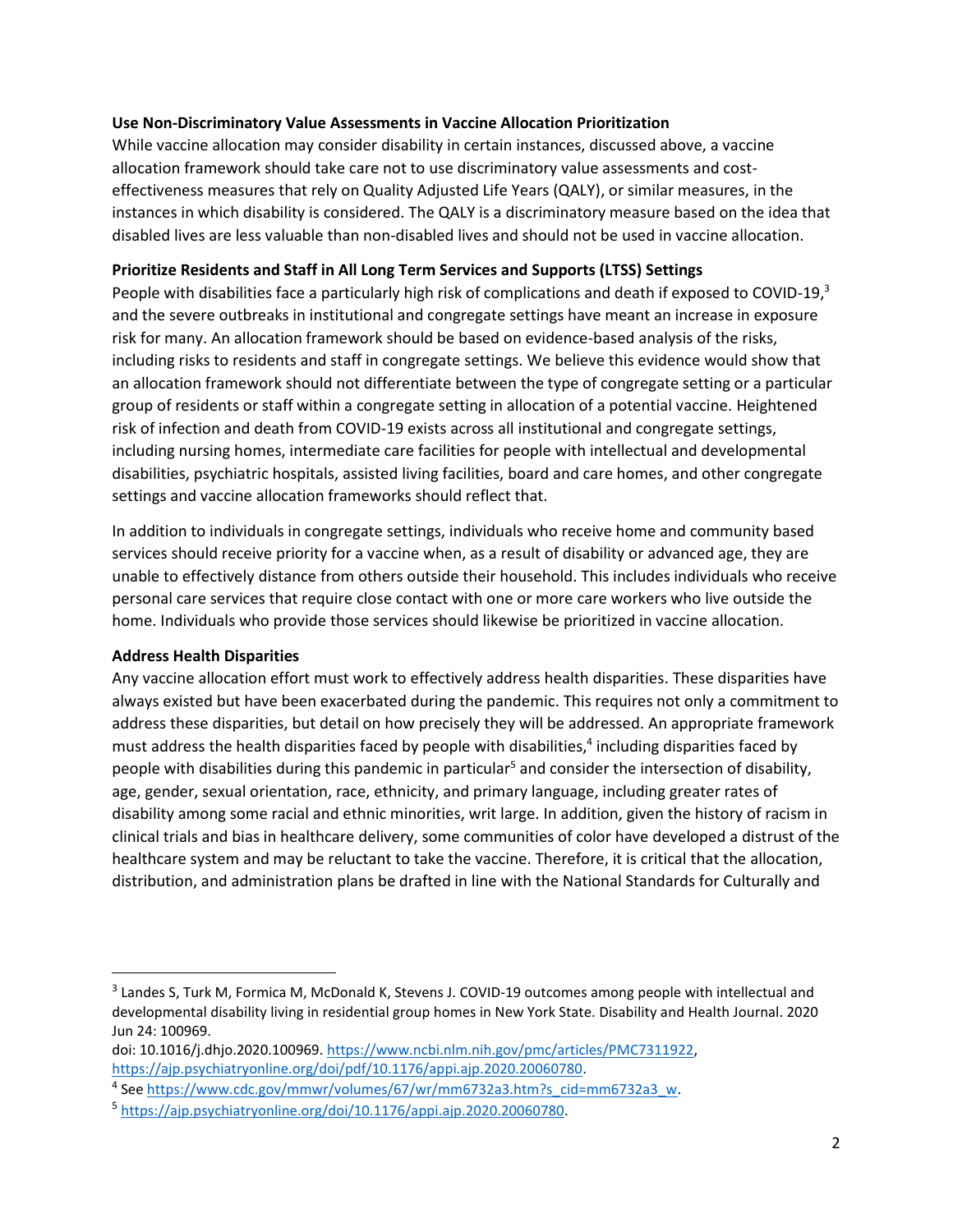### **Use Non-Discriminatory Value Assessments in Vaccine Allocation Prioritization**

While vaccine allocation may consider disability in certain instances, discussed above, a vaccine allocation framework should take care not to use discriminatory value assessments and costeffectiveness measures that rely on Quality Adjusted Life Years (QALY), or similar measures, in the instances in which disability is considered. The QALY is a discriminatory measure based on the idea that disabled lives are less valuable than non-disabled lives and should not be used in vaccine allocation.

## **Prioritize Residents and Staff in All Long Term Services and Supports (LTSS) Settings**

People with disabilities face a particularly high risk of complications and death if exposed to COVID-19, $3$ and the severe outbreaks in institutional and congregate settings have meant an increase in exposure risk for many. An allocation framework should be based on evidence-based analysis of the risks, including risks to residents and staff in congregate settings. We believe this evidence would show that an allocation framework should not differentiate between the type of congregate setting or a particular group of residents or staff within a congregate setting in allocation of a potential vaccine. Heightened risk of infection and death from COVID-19 exists across all institutional and congregate settings, including nursing homes, intermediate care facilities for people with intellectual and developmental disabilities, psychiatric hospitals, assisted living facilities, board and care homes, and other congregate settings and vaccine allocation frameworks should reflect that.

In addition to individuals in congregate settings, individuals who receive home and community based services should receive priority for a vaccine when, as a result of disability or advanced age, they are unable to effectively distance from others outside their household. This includes individuals who receive personal care services that require close contact with one or more care workers who live outside the home. Individuals who provide those services should likewise be prioritized in vaccine allocation.

### **Address Health Disparities**

Any vaccine allocation effort must work to effectively address health disparities. These disparities have always existed but have been exacerbated during the pandemic. This requires not only a commitment to address these disparities, but detail on how precisely they will be addressed. An appropriate framework must address the health disparities faced by people with disabilities, $4$  including disparities faced by people with disabilities during this pandemic in particular<sup>5</sup> and consider the intersection of disability, age, gender, sexual orientation, race, ethnicity, and primary language, including greater rates of disability among some racial and ethnic minorities, writ large. In addition, given the history of racism in clinical trials and bias in healthcare delivery, some communities of color have developed a distrust of the healthcare system and may be reluctant to take the vaccine. Therefore, it is critical that the allocation, distribution, and administration plans be drafted in line with the National Standards for Culturally and

<sup>&</sup>lt;sup>3</sup> Landes S, Turk M, Formica M, McDonald K, Stevens J. COVID-19 outcomes among people with intellectual and developmental disability living in residential group homes in New York State. Disability and Health Journal. 2020 Jun 24: 100969.

doi: 10.1016/j.dhjo.2020.100969. [https://www.ncbi.nlm.nih.gov/pmc/articles/PMC7311922,](https://www.ncbi.nlm.nih.gov/pmc/articles/PMC7311922) [https://ajp.psychiatryonline.org/doi/pdf/10.1176/appi.ajp.2020.20060780.](https://ajp.psychiatryonline.org/doi/pdf/10.1176/appi.ajp.2020.20060780)

<sup>&</sup>lt;sup>4</sup> See https://www.cdc.gov/mmwr/volumes/67/wr/mm6732a3.htm?s\_cid=mm6732a3\_w.

<sup>5</sup> [https://ajp.psychiatryonline.org/doi/10.1176/appi.ajp.2020.20060780.](https://ajp.psychiatryonline.org/doi/10.1176/appi.ajp.2020.20060780)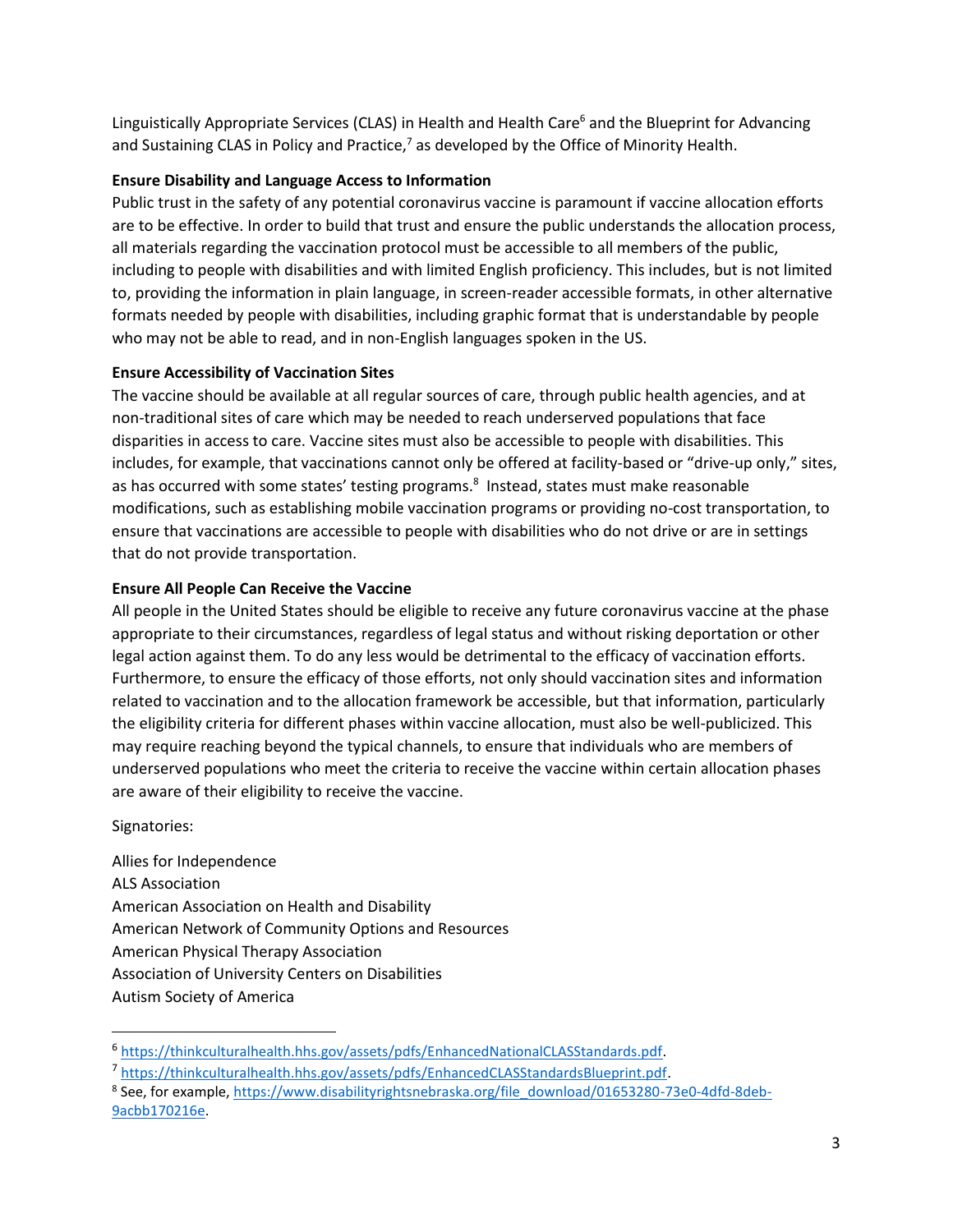Linguistically Appropriate Services (CLAS) in Health and Health Care<sup>6</sup> and the Blueprint for Advancing and Sustaining CLAS in Policy and Practice,<sup>7</sup> as developed by the Office of Minority Health.

# **Ensure Disability and Language Access to Information**

Public trust in the safety of any potential coronavirus vaccine is paramount if vaccine allocation efforts are to be effective. In order to build that trust and ensure the public understands the allocation process, all materials regarding the vaccination protocol must be accessible to all members of the public, including to people with disabilities and with limited English proficiency. This includes, but is not limited to, providing the information in plain language, in screen-reader accessible formats, in other alternative formats needed by people with disabilities, including graphic format that is understandable by people who may not be able to read, and in non-English languages spoken in the US.

## **Ensure Accessibility of Vaccination Sites**

The vaccine should be available at all regular sources of care, through public health agencies, and at non-traditional sites of care which may be needed to reach underserved populations that face disparities in access to care. Vaccine sites must also be accessible to people with disabilities. This includes, for example, that vaccinations cannot only be offered at facility-based or "drive-up only," sites, as has occurred with some states' testing programs.<sup>8</sup> Instead, states must make reasonable modifications, such as establishing mobile vaccination programs or providing no-cost transportation, to ensure that vaccinations are accessible to people with disabilities who do not drive or are in settings that do not provide transportation.

## **Ensure All People Can Receive the Vaccine**

All people in the United States should be eligible to receive any future coronavirus vaccine at the phase appropriate to their circumstances, regardless of legal status and without risking deportation or other legal action against them. To do any less would be detrimental to the efficacy of vaccination efforts. Furthermore, to ensure the efficacy of those efforts, not only should vaccination sites and information related to vaccination and to the allocation framework be accessible, but that information, particularly the eligibility criteria for different phases within vaccine allocation, must also be well-publicized. This may require reaching beyond the typical channels, to ensure that individuals who are members of underserved populations who meet the criteria to receive the vaccine within certain allocation phases are aware of their eligibility to receive the vaccine.

### Signatories:

Allies for Independence ALS Association American Association on Health and Disability American Network of Community Options and Resources American Physical Therapy Association Association of University Centers on Disabilities Autism Society of America

<sup>6</sup> [https://thinkculturalhealth.hhs.gov/assets/pdfs/EnhancedNationalCLASStandards.pdf.](https://thinkculturalhealth.hhs.gov/assets/pdfs/EnhancedNationalCLASStandards.pdf)

<sup>&</sup>lt;sup>7</sup> [https://thinkculturalhealth.hhs.gov/assets/pdfs/EnhancedCLASStandardsBlueprint.pdf.](https://thinkculturalhealth.hhs.gov/assets/pdfs/EnhancedCLASStandardsBlueprint.pdf)

<sup>&</sup>lt;sup>8</sup> See, for example, <u>https://www.disabilityrightsnebraska.org/file\_download/01653280-73e0-4dfd-8deb-</u> [9acbb170216e.](https://www.disabilityrightsnebraska.org/file_download/01653280-73e0-4dfd-8deb-9acbb170216e)